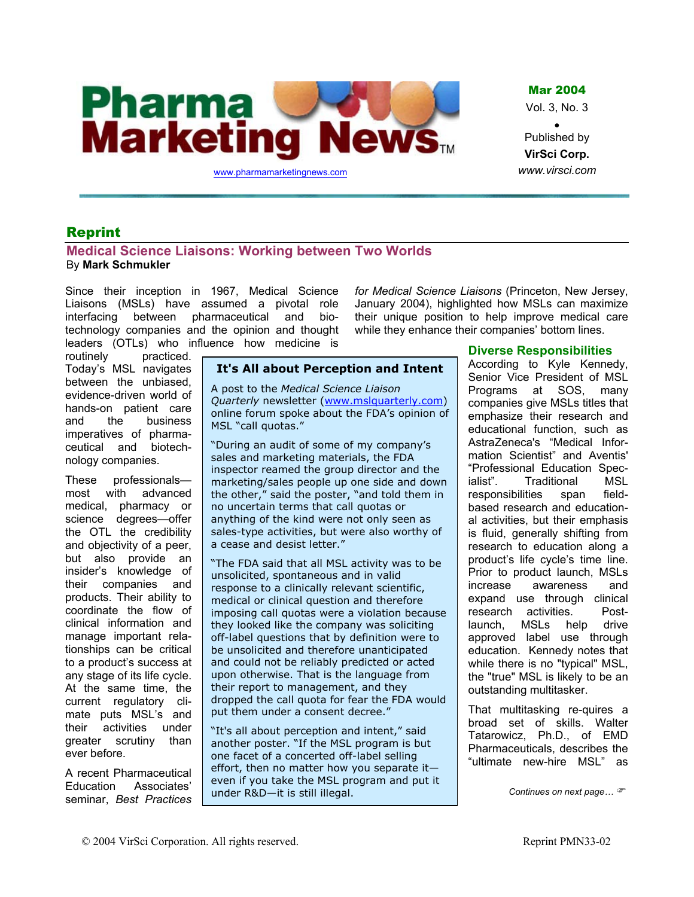

Mar 2004

Vol. 3, No. 3

• Published by **VirSci Corp.** *www.virsci.com*

# Reprint

# **Medical Science Liaisons: Working between Two Worlds**  By **Mark Schmukler**

Since their inception in 1967, Medical Science Liaisons (MSLs) have assumed a pivotal role interfacing between pharmaceutical and biotechnology companies and the opinion and thought leaders (OTLs) who influence how medicine is *for Medical Science Liaisons* (Princeton, New Jersey, January 2004), highlighted how MSLs can maximize their unique position to help improve medical care while they enhance their companies' bottom lines.

routinely practiced. Today's MSL navigates between the unbiased, evidence-driven world of hands-on patient care and the business imperatives of pharmaceutical and biotechnology companies.

These professionals most with advanced medical, pharmacy or science degrees—offer the OTL the credibility and objectivity of a peer, but also provide an insider's knowledge of their companies and products. Their ability to coordinate the flow of clinical information and manage important relationships can be critical to a product's success at any stage of its life cycle. At the same time, the current regulatory climate puts MSL's and their activities under greater scrutiny than ever before.

A recent Pharmaceutical Education Associates' seminar, *Best Practices* 

# **It's All about Perception and Intent**

A post to the *Medical Science Liaison Quarterly* newsletter [\(www.mslquarterly.com\)](http://www.mslquarterly.com/) online forum spoke about the FDA's opinion of MSL "call quotas."

"During an audit of some of my company's sales and marketing materials, the FDA inspector reamed the group director and the marketing/sales people up one side and down the other," said the poster, "and told them in no uncertain terms that call quotas or anything of the kind were not only seen as sales-type activities, but were also worthy of a cease and desist letter."

"The FDA said that all MSL activity was to be unsolicited, spontaneous and in valid response to a clinically relevant scientific, medical or clinical question and therefore imposing call quotas were a violation because they looked like the company was soliciting off-label questions that by definition were to be unsolicited and therefore unanticipated and could not be reliably predicted or acted upon otherwise. That is the language from their report to management, and they dropped the call quota for fear the FDA would put them under a consent decree."

"It's all about perception and intent," said another poster. "If the MSL program is but one facet of a concerted off-label selling effort, then no matter how you separate it even if you take the MSL program and put it under R&D—it is still illegal.

# **Diverse Responsibilities**

According to Kyle Kennedy, Senior Vice President of MSL Programs at SOS, many companies give MSLs titles that emphasize their research and educational function, such as AstraZeneca's "Medical Information Scientist" and Aventis' "Professional Education Specialist". Traditional MSL responsibilities span fieldbased research and educational activities, but their emphasis is fluid, generally shifting from research to education along a product's life cycle's time line. Prior to product launch, MSLs increase awareness and expand use through clinical research activities. Postlaunch, MSLs help drive approved label use through education. Kennedy notes that while there is no "typical" MSL, the "true" MSL is likely to be an outstanding multitasker.

That multitasking re-quires a broad set of skills. Walter Tatarowicz, Ph.D., of EMD Pharmaceuticals, describes the "ultimate new-hire MSL" as

*Continues on next page…* )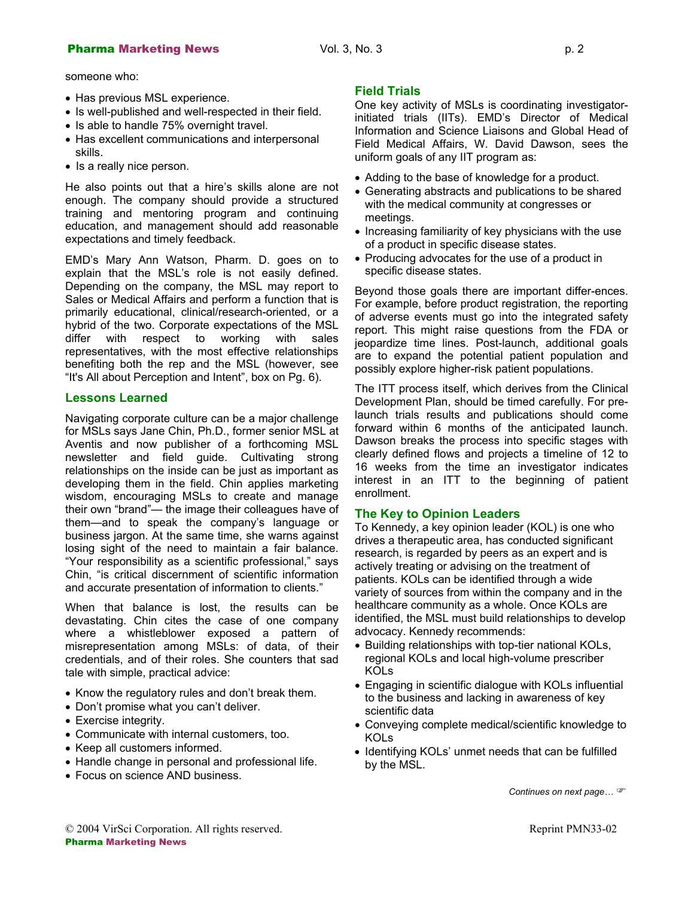# **Pharma Marketing News Col. 3, No. 3** p. 2 p. 2

someone who:

- 
- Is well-published and well-respected in their field.
- Is able to handle 75% overnight travel.
- Has excellent communications and interpersonal skills.
- Is a really nice person.

He also points out that a hire's skills alone are not enough. The company should provide a structured training and mentoring program and continuing education, and management should add reasonable expectations and timely feedback.

EMD's Mary Ann Watson, Pharm. D. goes on to • Producing advocates foi<br>explain that the MSL's role is not easily defined. specific disease states. Depending on the company, the MSL may report to Sales or Medical Affairs and perform a function that is primarily educational, clinical/research-oriented, or a hybrid of the two. Corporate expectations of the MSL differ with respect to working with sales representatives, with the most effective relationships benefiting both the rep and the MSL (however, see "It's All about Perception and Intent", box on Pg. 6).

### **Lessons Learned**

Navigating corporate culture can be a major challenge for MSLs says Jane Chin, Ph.D., former senior MSL at Aventis and now publisher of a forthcoming MSL newsletter and field guide. Cultivating strong relationships on the inside can be just as important as developing them in the field. Chin applies marketing wisdom, encouraging MSLs to create and manage their own "brand"— the image their colleagues have of them—and to speak the company's language or business jargon. At the same time, she warns against losing sight of the need to maintain a fair balance. "Your responsibility as a scientific professional," says Chin, "is critical discernment of scientific information and accurate presentation of information to clients."

When that balance is lost, the results can be devastating. Chin cites the case of one company where a whistleblower exposed a pattern of misrepresentation among MSLs: of data, of their credentials, and of their roles. She counters that sad tale with simple, practical advice:

- Know the regulatory rules and don't break them.
- Don't promise what you can't deliver.
- 
- Communicate with internal customers, too. <br>• Keep all customers informed. <br>• Identif
- 
- Handle change in personal and professional life. by the MSL.
- Focus on science AND business.

• Has previous MSL experience.<br>Come key activity of MSLs is coordinating investigatorinitiated trials (IITs). EMD's Director of Medical Information and Science Liaisons and Global Head of Field Medical Affairs, W. David Dawson, sees the uniform goals of any IIT program as:

- Adding to the base of knowledge for a product.
- Generating abstracts and publications to be shared with the medical community at congresses or meetings.
- Increasing familiarity of key physicians with the use of a product in specific disease states.
- Producing advocates for the use of a product in

Beyond those goals there are important differ-ences. For example, before product registration, the reporting of adverse events must go into the integrated safety report. This might raise questions from the FDA or jeopardize time lines. Post-launch, additional goals are to expand the potential patient population and possibly explore higher-risk patient populations.

The ITT process itself, which derives from the Clinical Development Plan, should be timed carefully. For prelaunch trials results and publications should come forward within 6 months of the anticipated launch. Dawson breaks the process into specific stages with clearly defined flows and projects a timeline of 12 to 16 weeks from the time an investigator indicates interest in an ITT to the beginning of patient enrollment.

#### **The Key to Opinion Leaders**

To Kennedy, a key opinion leader (KOL) is one who drives a therapeutic area, has conducted significant research, is regarded by peers as an expert and is actively treating or advising on the treatment of patients. KOLs can be identified through a wide variety of sources from within the company and in the healthcare community as a whole. Once KOLs are identified, the MSL must build relationships to develop advocacy. Kennedy recommends:

- Building relationships with top-tier national KOLs, regional KOLs and local high-volume prescriber KOLs
- Engaging in scientific dialogue with KOLs influential to the business and lacking in awareness of key scientific data
- Exercise integrity.
	- Identifying KOLs' unmet needs that can be fulfilled

*Continues on next page…* )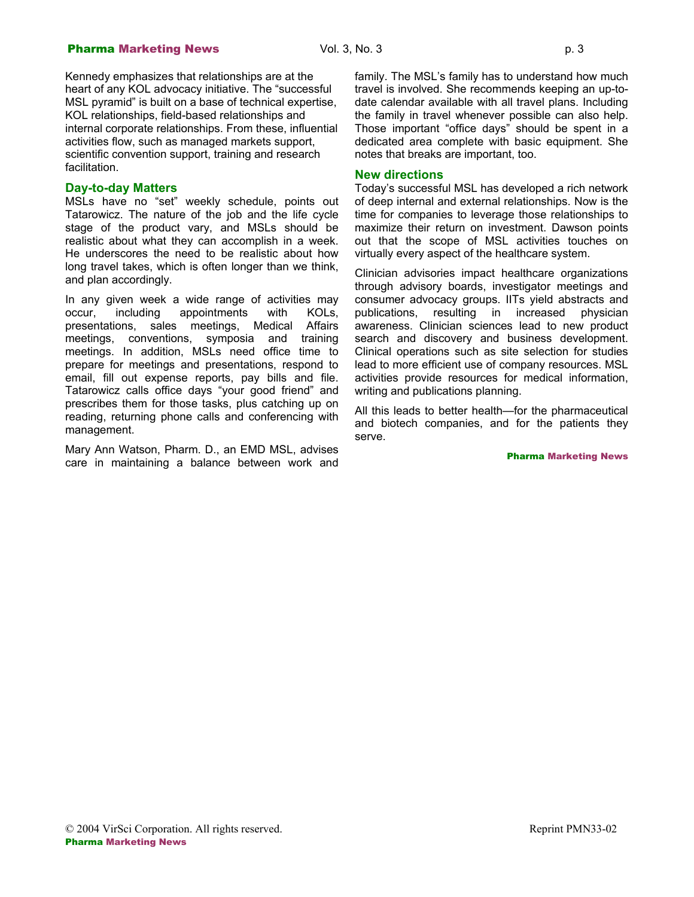#### **Pharma Marketing News Col. 3, No. 3 p. 3 p. 3**

Kennedy emphasizes that relationships are at the heart of any KOL advocacy initiative. The "successful MSL pyramid" is built on a base of technical expertise, KOL relationships, field-based relationships and internal corporate relationships. From these, influential activities flow, such as managed markets support, scientific convention support, training and research facilitation.

#### **Day-to-day Matters**

MSLs have no "set" weekly schedule, points out Tatarowicz. The nature of the job and the life cycle stage of the product vary, and MSLs should be realistic about what they can accomplish in a week. He underscores the need to be realistic about how long travel takes, which is often longer than we think, and plan accordingly.

In any given week a wide range of activities may occur, including appointments with KOLs, presentations, sales meetings, Medical Affairs meetings, conventions, symposia and training meetings. In addition, MSLs need office time to prepare for meetings and presentations, respond to email, fill out expense reports, pay bills and file. Tatarowicz calls office days "your good friend" and prescribes them for those tasks, plus catching up on reading, returning phone calls and conferencing with management.

Mary Ann Watson, Pharm. D., an EMD MSL, advises care in maintaining a balance between work and family. The MSL's family has to understand how much travel is involved. She recommends keeping an up-todate calendar available with all travel plans. Including the family in travel whenever possible can also help. Those important "office days" should be spent in a dedicated area complete with basic equipment. She notes that breaks are important, too.

#### **New directions**

Today's successful MSL has developed a rich network of deep internal and external relationships. Now is the time for companies to leverage those relationships to maximize their return on investment. Dawson points out that the scope of MSL activities touches on virtually every aspect of the healthcare system.

Clinician advisories impact healthcare organizations through advisory boards, investigator meetings and consumer advocacy groups. IITs yield abstracts and publications, resulting in increased physician awareness. Clinician sciences lead to new product search and discovery and business development. Clinical operations such as site selection for studies lead to more efficient use of company resources. MSL activities provide resources for medical information, writing and publications planning.

All this leads to better health—for the pharmaceutical and biotech companies, and for the patients they serve.

Pharma Marketing News